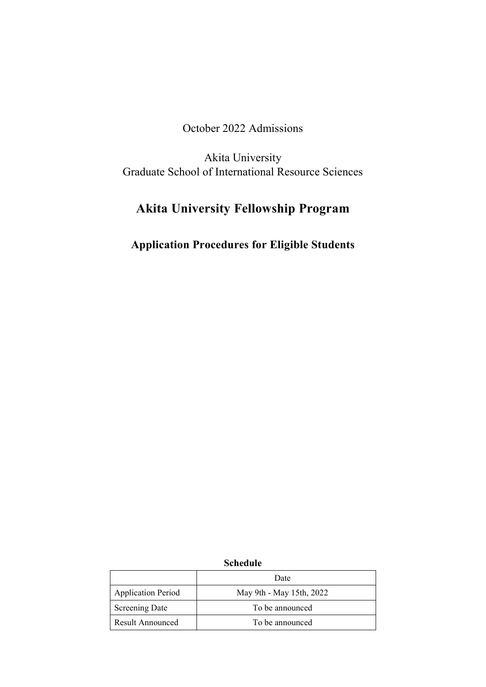October 2022 Admissions

Akita University Graduate School of International Resource Sciences

# **Akita University Fellowship Program**

## **Application Procedures for Eligible Students**

|                           | Date                     |
|---------------------------|--------------------------|
| <b>Application Period</b> | May 9th - May 15th, 2022 |
| <b>Screening Date</b>     | To be announced          |
| Result Announced          | To be announced          |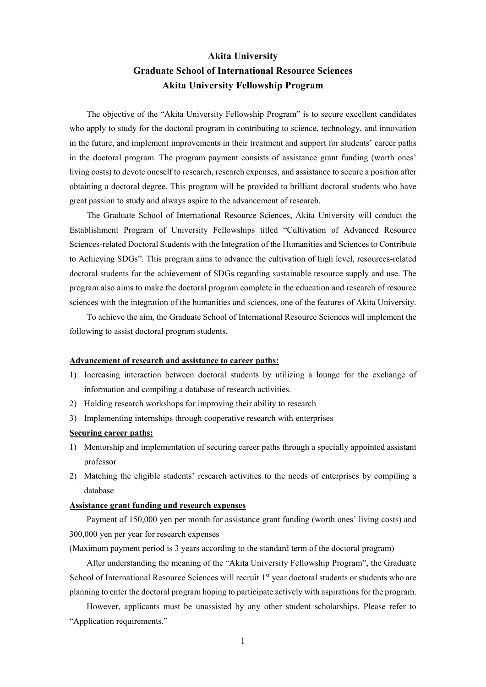### **Akita University Graduate School of International Resource Sciences Akita University Fellowship Program**

 The objective of the "Akita University Fellowship Program" is to secure excellent candidates who apply to study for the doctoral program in contributing to science, technology, and innovation in the future, and implement improvements in their treatment and support for students' career paths in the doctoral program. The program payment consists of assistance grant funding (worth ones' living costs) to devote oneself to research, research expenses, and assistance to secure a position after obtaining a doctoral degree. This program will be provided to brilliant doctoral students who have great passion to study and always aspire to the advancement of research.

 The Graduate School of International Resource Sciences, Akita University will conduct the Establishment Program of University Fellowships titled "Cultivation of Advanced Resource Sciences-related Doctoral Students with the Integration of the Humanities and Sciences to Contribute to Achieving SDGs". This program aims to advance the cultivation of high level, resources-related doctoral students for the achievement of SDGs regarding sustainable resource supply and use. The program also aims to make the doctoral program complete in the education and research of resource sciences with the integration of the humanities and sciences, one of the features of Akita University.

 To achieve the aim, the Graduate School of International Resource Sciences will implement the following to assist doctoral program students.

#### **Advancement of research and assistance to career paths:**

- 1) Increasing interaction between doctoral students by utilizing a lounge for the exchange of information and compiling a database of research activities.
- 2) Holding research workshops for improving their ability to research
- 3) Implementing internships through cooperative research with enterprises

#### **Securing career paths:**

- 1) Mentorship and implementation of securing career paths through a specially appointed assistant professor
- 2) Matching the eligible students' research activities to the needs of enterprises by compiling a database

#### **Assistance grant funding and research expenses**

 Payment of 150,000 yen per month for assistance grant funding (worth ones' living costs) and 300,000 yen per year for research expenses

(Maximum payment period is 3 years according to the standard term of the doctoral program)

 After understanding the meaning of the "Akita University Fellowship Program", the Graduate School of International Resource Sciences will recruit 1st year doctoral students or students who are planning to enter the doctoral program hoping to participate actively with aspirations for the program.

 However, applicants must be unassisted by any other student scholarships. Please refer to "Application requirements."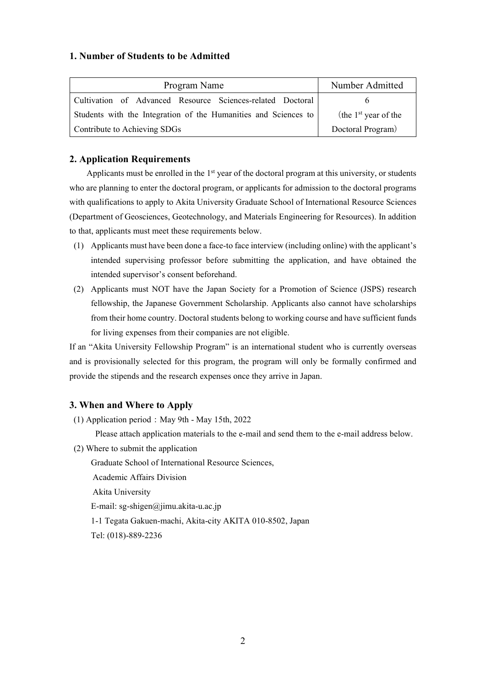#### **1. Number of Students to be Admitted**

| Program Name                                                    | Number Admitted        |
|-----------------------------------------------------------------|------------------------|
| Cultivation of Advanced Resource Sciences-related Doctoral      |                        |
| Students with the Integration of the Humanities and Sciences to | (the $1st$ year of the |
| Contribute to Achieving SDGs                                    | Doctoral Program)      |

#### **2. Application Requirements**

Applicants must be enrolled in the 1<sup>st</sup> year of the doctoral program at this university, or students who are planning to enter the doctoral program, or applicants for admission to the doctoral programs with qualifications to apply to Akita University Graduate School of International Resource Sciences (Department of Geosciences, Geotechnology, and Materials Engineering for Resources). In addition to that, applicants must meet these requirements below.

- (1) Applicants must have been done a face-to face interview (including online) with the applicant's intended supervising professor before submitting the application, and have obtained the intended supervisor's consent beforehand.
- (2) Applicants must NOT have the Japan Society for a Promotion of Science (JSPS) research fellowship, the Japanese Government Scholarship. Applicants also cannot have scholarships from their home country. Doctoral students belong to working course and have sufficient funds for living expenses from their companies are not eligible.

If an "Akita University Fellowship Program" is an international student who is currently overseas and is provisionally selected for this program, the program will only be formally confirmed and provide the stipends and the research expenses once they arrive in Japan.

#### **3. When and Where to Apply**

(1) Application period: May 9th - May 15th, 2022

Please attach application materials to the e-mail and send them to the e-mail address below.

(2) Where to submit the application

Graduate School of International Resource Sciences,

Academic Affairs Division

Akita University

E-mail: sg-shigen@jimu.akita-u.ac.jp

1-1 Tegata Gakuen-machi, Akita-city AKITA 010-8502, Japan

Tel: (018)-889-2236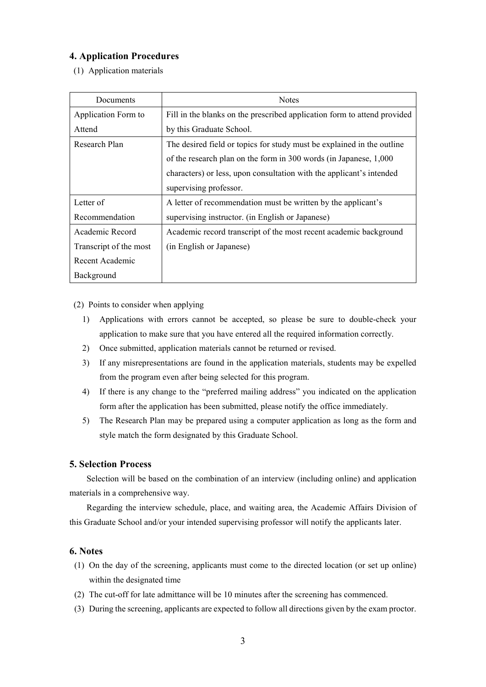#### **4. Application Procedures**

(1) Application materials

| Documents              | <b>Notes</b>                                                             |
|------------------------|--------------------------------------------------------------------------|
| Application Form to    | Fill in the blanks on the prescribed application form to attend provided |
| Attend                 | by this Graduate School.                                                 |
| Research Plan          | The desired field or topics for study must be explained in the outline   |
|                        | of the research plan on the form in 300 words (in Japanese, 1,000)       |
|                        | characters) or less, upon consultation with the applicant's intended     |
|                        | supervising professor.                                                   |
| Letter of              | A letter of recommendation must be written by the applicant's            |
| Recommendation         | supervising instructor. (in English or Japanese)                         |
| Academic Record        | Academic record transcript of the most recent academic background        |
| Transcript of the most | (in English or Japanese)                                                 |
| Recent Academic        |                                                                          |
| Background             |                                                                          |

(2) Points to consider when applying

- 1) Applications with errors cannot be accepted, so please be sure to double-check your application to make sure that you have entered all the required information correctly.
- 2) Once submitted, application materials cannot be returned or revised.
- 3) If any misrepresentations are found in the application materials, students may be expelled from the program even after being selected for this program.
- 4) If there is any change to the "preferred mailing address" you indicated on the application form after the application has been submitted, please notify the office immediately.
- 5) The Research Plan may be prepared using a computer application as long as the form and style match the form designated by this Graduate School.

#### **5. Selection Process**

 Selection will be based on the combination of an interview (including online) and application materials in a comprehensive way.

 Regarding the interview schedule, place, and waiting area, the Academic Affairs Division of this Graduate School and/or your intended supervising professor will notify the applicants later.

#### **6. Notes**

- (1) On the day of the screening, applicants must come to the directed location (or set up online) within the designated time
- (2) The cut-off for late admittance will be 10 minutes after the screening has commenced.
- (3) During the screening, applicants are expected to follow all directions given by the exam proctor.